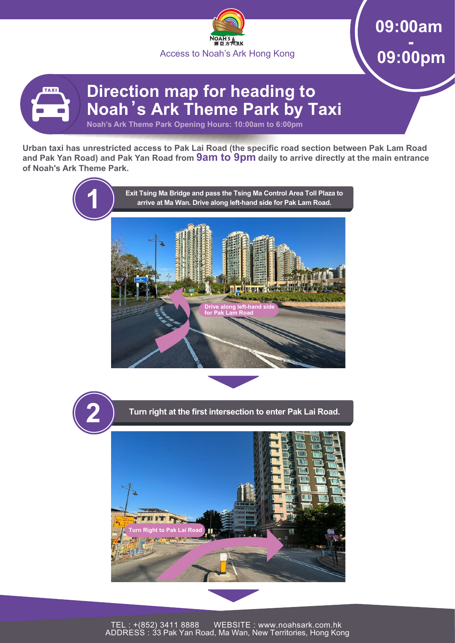

**09:00am - 09:00pm**

## **Direction map for heading to Noah's Ark Theme Park by Taxi Noah's Ark Theme Park Opening Hours: 10:00am to 6:00pm**

**Urban taxi has unrestricted access to Pak Lai Road (the specific road section between Pak Lam Road and Pak Yan Road) and Pak Yan Road from 9am to 9pm daily to arrive directly at the main entrance of Noah's Ark Theme Park.**